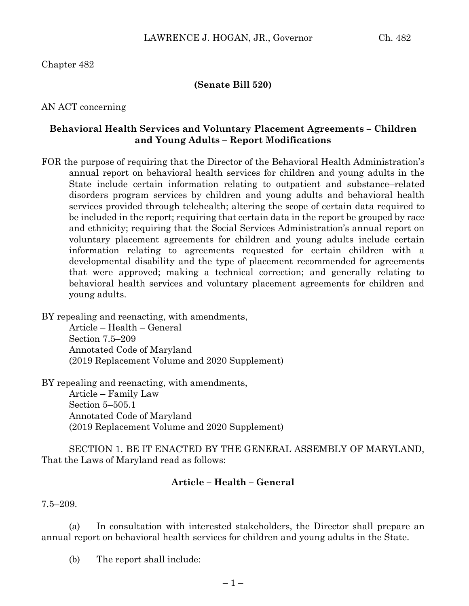## Chapter 482

#### **(Senate Bill 520)**

#### AN ACT concerning

### **Behavioral Health Services and Voluntary Placement Agreements – Children and Young Adults – Report Modifications**

FOR the purpose of requiring that the Director of the Behavioral Health Administration's annual report on behavioral health services for children and young adults in the State include certain information relating to outpatient and substance–related disorders program services by children and young adults and behavioral health services provided through telehealth; altering the scope of certain data required to be included in the report; requiring that certain data in the report be grouped by race and ethnicity; requiring that the Social Services Administration's annual report on voluntary placement agreements for children and young adults include certain information relating to agreements requested for certain children with a developmental disability and the type of placement recommended for agreements that were approved; making a technical correction; and generally relating to behavioral health services and voluntary placement agreements for children and young adults.

BY repealing and reenacting, with amendments,

Article – Health – General Section 7.5–209 Annotated Code of Maryland (2019 Replacement Volume and 2020 Supplement)

BY repealing and reenacting, with amendments,

Article – Family Law Section 5–505.1 Annotated Code of Maryland (2019 Replacement Volume and 2020 Supplement)

SECTION 1. BE IT ENACTED BY THE GENERAL ASSEMBLY OF MARYLAND, That the Laws of Maryland read as follows:

#### **Article – Health – General**

7.5–209.

(a) In consultation with interested stakeholders, the Director shall prepare an annual report on behavioral health services for children and young adults in the State.

(b) The report shall include: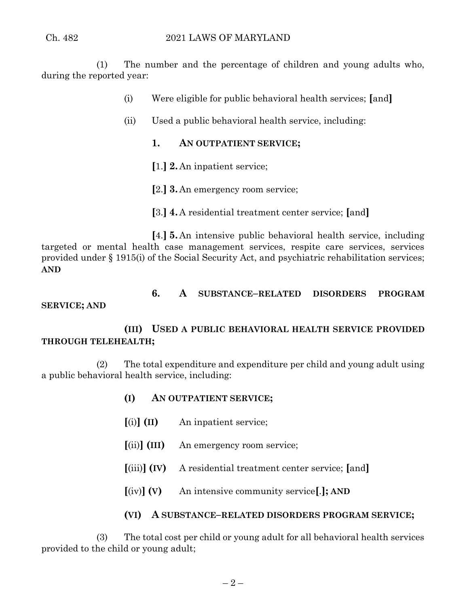(1) The number and the percentage of children and young adults who, during the reported year:

- (i) Were eligible for public behavioral health services; **[**and**]**
- (ii) Used a public behavioral health service, including:
	- **1. AN OUTPATIENT SERVICE;**
	- **[**1.**] 2.** An inpatient service;
	- **[**2.**] 3.** An emergency room service;
	- **[**3.**] 4.** A residential treatment center service; **[**and**]**

**[**4.**] 5.** An intensive public behavioral health service, including targeted or mental health case management services, respite care services, services provided under § 1915(i) of the Social Security Act, and psychiatric rehabilitation services; **AND**

**6. A SUBSTANCE–RELATED DISORDERS PROGRAM**

## **SERVICE; AND**

# **(III) USED A PUBLIC BEHAVIORAL HEALTH SERVICE PROVIDED THROUGH TELEHEALTH;**

(2) The total expenditure and expenditure per child and young adult using a public behavioral health service, including:

- **(I) AN OUTPATIENT SERVICE;**
- **[**(i)**] (II)** An inpatient service;
- **[**(ii)**] (III)** An emergency room service;
- **[**(iii)**] (IV)** A residential treatment center service; **[**and**]**
- **[**(iv)**] (V)** An intensive community service**[**.**]; AND**
- **(VI) A SUBSTANCE–RELATED DISORDERS PROGRAM SERVICE;**

(3) The total cost per child or young adult for all behavioral health services provided to the child or young adult;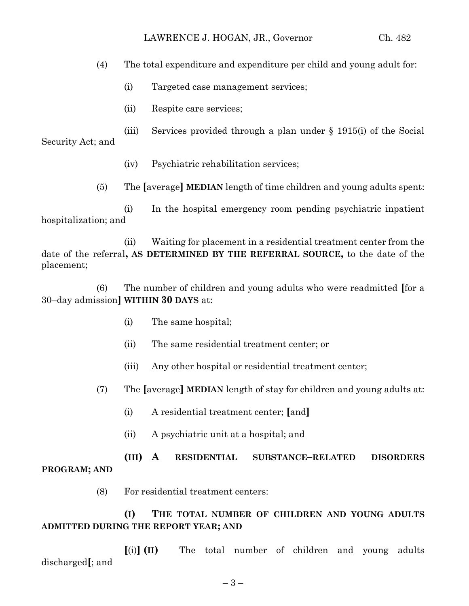(4) The total expenditure and expenditure per child and young adult for:

- (i) Targeted case management services;
- (ii) Respite care services;

(iii) Services provided through a plan under § 1915(i) of the Social Security Act; and

- (iv) Psychiatric rehabilitation services;
- (5) The **[**average**] MEDIAN** length of time children and young adults spent:

(i) In the hospital emergency room pending psychiatric inpatient hospitalization; and

(ii) Waiting for placement in a residential treatment center from the date of the referral**, AS DETERMINED BY THE REFERRAL SOURCE,** to the date of the placement;

(6) The number of children and young adults who were readmitted **[**for a 30–day admission**] WITHIN 30 DAYS** at:

- (i) The same hospital;
- (ii) The same residential treatment center; or
- (iii) Any other hospital or residential treatment center;
- (7) The **[**average**] MEDIAN** length of stay for children and young adults at:
	- (i) A residential treatment center; **[**and**]**
	- (ii) A psychiatric unit at a hospital; and

# **(III) A RESIDENTIAL SUBSTANCE–RELATED DISORDERS PROGRAM; AND**

(8) For residential treatment centers:

# **(I) THE TOTAL NUMBER OF CHILDREN AND YOUNG ADULTS ADMITTED DURING THE REPORT YEAR; AND**

**[**(i)**] (II)** The total number of children and young adults discharged**[**; and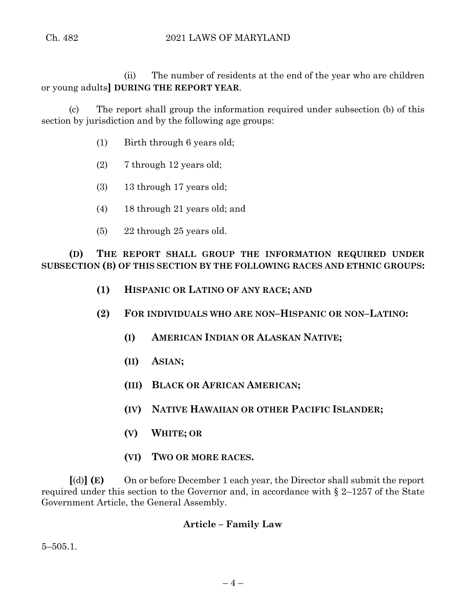(ii) The number of residents at the end of the year who are children or young adults**] DURING THE REPORT YEAR**.

(c) The report shall group the information required under subsection (b) of this section by jurisdiction and by the following age groups:

- (1) Birth through 6 years old;
- (2) 7 through 12 years old;
- (3) 13 through 17 years old;
- (4) 18 through 21 years old; and
- (5) 22 through 25 years old.

**(D) THE REPORT SHALL GROUP THE INFORMATION REQUIRED UNDER SUBSECTION (B) OF THIS SECTION BY THE FOLLOWING RACES AND ETHNIC GROUPS:**

- **(1) HISPANIC OR LATINO OF ANY RACE; AND**
- **(2) FOR INDIVIDUALS WHO ARE NON–HISPANIC OR NON–LATINO:**
	- **(I) AMERICAN INDIAN OR ALASKAN NATIVE;**
	- **(II) ASIAN;**
	- **(III) BLACK OR AFRICAN AMERICAN;**
	- **(IV) NATIVE HAWAIIAN OR OTHER PACIFIC ISLANDER;**
	- **(V) WHITE; OR**
	- **(VI) TWO OR MORE RACES.**

**[**(d)**] (E)** On or before December 1 each year, the Director shall submit the report required under this section to the Governor and, in accordance with § 2–1257 of the State Government Article, the General Assembly.

## **Article – Family Law**

5–505.1.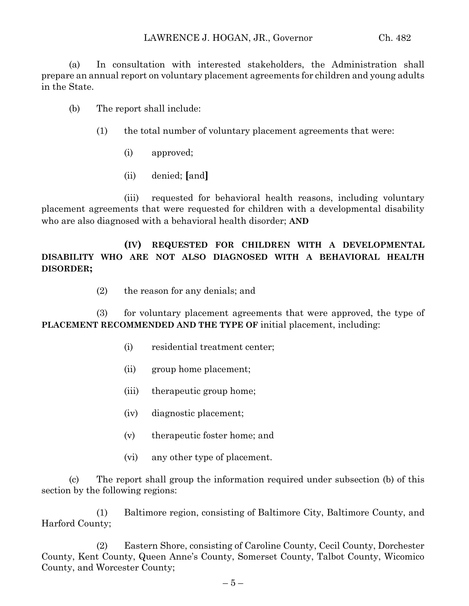(a) In consultation with interested stakeholders, the Administration shall prepare an annual report on voluntary placement agreements for children and young adults in the State.

- (b) The report shall include:
	- (1) the total number of voluntary placement agreements that were:
		- (i) approved;
		- (ii) denied; **[**and**]**

(iii) requested for behavioral health reasons, including voluntary placement agreements that were requested for children with a developmental disability who are also diagnosed with a behavioral health disorder; **AND**

# **(IV) REQUESTED FOR CHILDREN WITH A DEVELOPMENTAL DISABILITY WHO ARE NOT ALSO DIAGNOSED WITH A BEHAVIORAL HEALTH DISORDER;**

(2) the reason for any denials; and

(3) for voluntary placement agreements that were approved, the type of **PLACEMENT RECOMMENDED AND THE TYPE OF initial placement, including:** 

- (i) residential treatment center;
- (ii) group home placement;
- (iii) therapeutic group home;
- (iv) diagnostic placement;
- (v) therapeutic foster home; and
- (vi) any other type of placement.

(c) The report shall group the information required under subsection (b) of this section by the following regions:

(1) Baltimore region, consisting of Baltimore City, Baltimore County, and Harford County;

(2) Eastern Shore, consisting of Caroline County, Cecil County, Dorchester County, Kent County, Queen Anne's County, Somerset County, Talbot County, Wicomico County, and Worcester County;